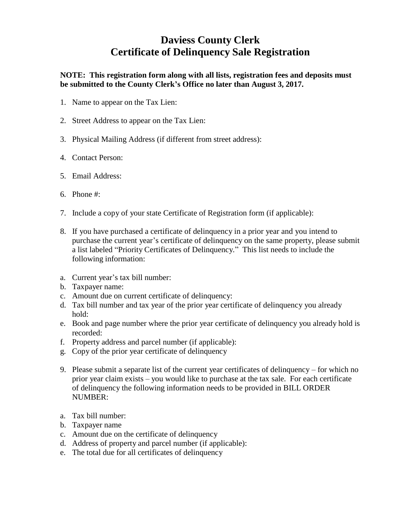## **Daviess County Clerk Certificate of Delinquency Sale Registration**

**NOTE: This registration form along with all lists, registration fees and deposits must be submitted to the County Clerk's Office no later than August 3, 2017.**

- 1. Name to appear on the Tax Lien:
- 2. Street Address to appear on the Tax Lien:
- 3. Physical Mailing Address (if different from street address):
- 4. Contact Person:
- 5. Email Address:
- 6. Phone #:
- 7. Include a copy of your state Certificate of Registration form (if applicable):
- 8. If you have purchased a certificate of delinquency in a prior year and you intend to purchase the current year's certificate of delinquency on the same property, please submit a list labeled "Priority Certificates of Delinquency." This list needs to include the following information:
- a. Current year's tax bill number:
- b. Taxpayer name:
- c. Amount due on current certificate of delinquency:
- d. Tax bill number and tax year of the prior year certificate of delinquency you already hold:
- e. Book and page number where the prior year certificate of delinquency you already hold is recorded:
- f. Property address and parcel number (if applicable):
- g. Copy of the prior year certificate of delinquency
- 9. Please submit a separate list of the current year certificates of delinquency for which no prior year claim exists – you would like to purchase at the tax sale. For each certificate of delinquency the following information needs to be provided in BILL ORDER NUMBER:
- a. Tax bill number:
- b. Taxpayer name
- c. Amount due on the certificate of delinquency
- d. Address of property and parcel number (if applicable):
- e. The total due for all certificates of delinquency